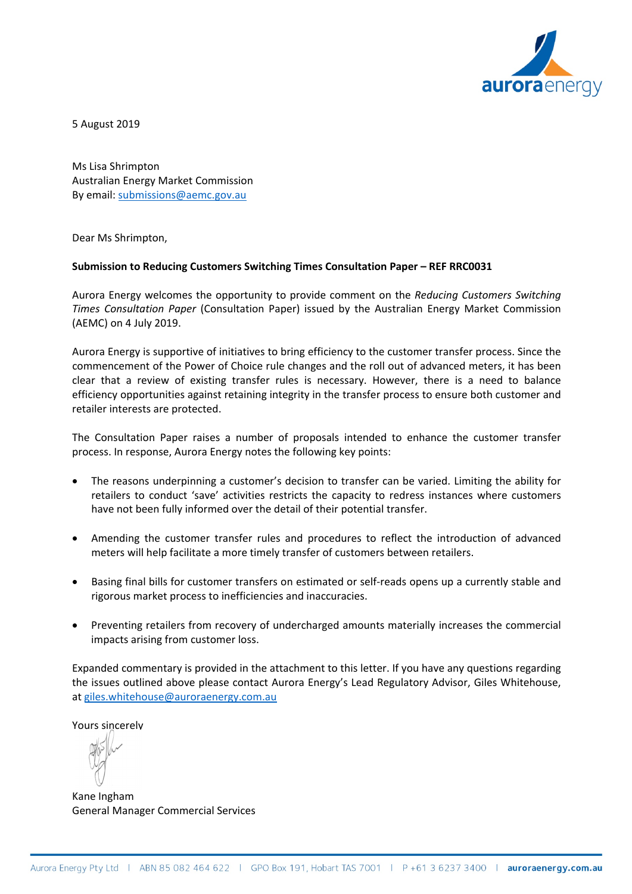

5 August 2019

Ms Lisa Shrimpton Australian Energy Market Commission By email: [submissions@aemc.gov.au](mailto:submissions@aemc.gov.au)

Dear Ms Shrimpton,

#### **Submission to Reducing Customers Switching Times Consultation Paper – REF RRC0031**

Aurora Energy welcomes the opportunity to provide comment on the *Reducing Customers Switching Times Consultation Paper* (Consultation Paper) issued by the Australian Energy Market Commission (AEMC) on 4 July 2019.

Aurora Energy is supportive of initiatives to bring efficiency to the customer transfer process. Since the commencement of the Power of Choice rule changes and the roll out of advanced meters, it has been clear that a review of existing transfer rules is necessary. However, there is a need to balance efficiency opportunities against retaining integrity in the transfer process to ensure both customer and retailer interests are protected.

The Consultation Paper raises a number of proposals intended to enhance the customer transfer process. In response, Aurora Energy notes the following key points:

- The reasons underpinning a customer's decision to transfer can be varied. Limiting the ability for retailers to conduct 'save' activities restricts the capacity to redress instances where customers have not been fully informed over the detail of their potential transfer.
- Amending the customer transfer rules and procedures to reflect the introduction of advanced meters will help facilitate a more timely transfer of customers between retailers.
- Basing final bills for customer transfers on estimated or self-reads opens up a currently stable and rigorous market process to inefficiencies and inaccuracies.
- Preventing retailers from recovery of undercharged amounts materially increases the commercial impacts arising from customer loss.

Expanded commentary is provided in the attachment to this letter. If you have any questions regarding the issues outlined above please contact Aurora Energy's Lead Regulatory Advisor, Giles Whitehouse, at [giles.whitehouse@auroraenergy.com.au](mailto:giles.whitehouse@auroraenergy.com.au)

Yours sincerely

Kane Ingham General Manager Commercial Services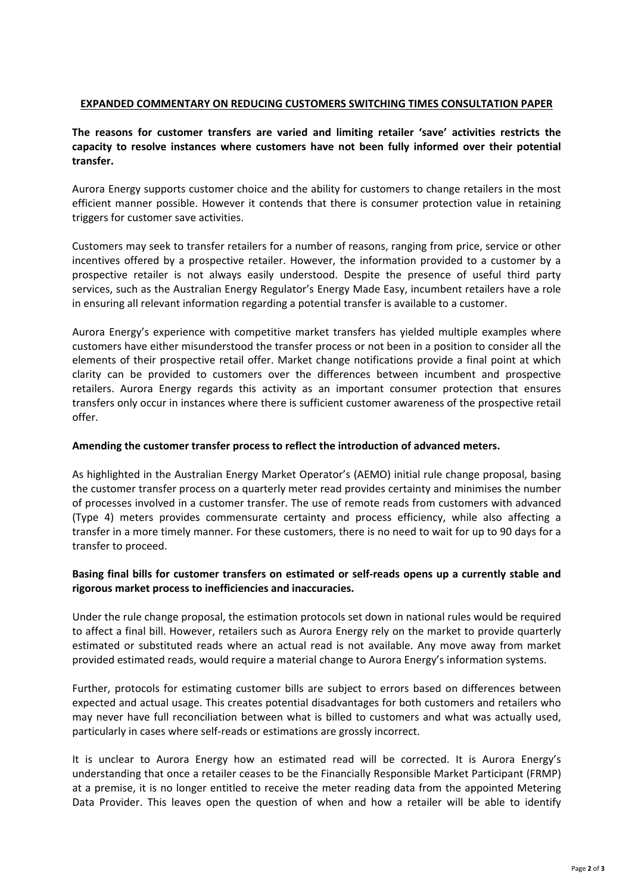### **EXPANDED COMMENTARY ON REDUCING CUSTOMERS SWITCHING TIMES CONSULTATION PAPER**

# **The reasons for customer transfers are varied and limiting retailer 'save' activities restricts the capacity to resolve instances where customers have not been fully informed over their potential transfer.**

Aurora Energy supports customer choice and the ability for customers to change retailers in the most efficient manner possible. However it contends that there is consumer protection value in retaining triggers for customer save activities.

Customers may seek to transfer retailers for a number of reasons, ranging from price, service or other incentives offered by a prospective retailer. However, the information provided to a customer by a prospective retailer is not always easily understood. Despite the presence of useful third party services, such as the Australian Energy Regulator's Energy Made Easy, incumbent retailers have a role in ensuring all relevant information regarding a potential transfer is available to a customer.

Aurora Energy's experience with competitive market transfers has yielded multiple examples where customers have either misunderstood the transfer process or not been in a position to consider all the elements of their prospective retail offer. Market change notifications provide a final point at which clarity can be provided to customers over the differences between incumbent and prospective retailers. Aurora Energy regards this activity as an important consumer protection that ensures transfers only occur in instances where there is sufficient customer awareness of the prospective retail offer.

### **Amending the customer transfer process to reflect the introduction of advanced meters.**

As highlighted in the Australian Energy Market Operator's (AEMO) initial rule change proposal, basing the customer transfer process on a quarterly meter read provides certainty and minimises the number of processes involved in a customer transfer. The use of remote reads from customers with advanced (Type 4) meters provides commensurate certainty and process efficiency, while also affecting a transfer in a more timely manner. For these customers, there is no need to wait for up to 90 days for a transfer to proceed.

# **Basing final bills for customer transfers on estimated or self-reads opens up a currently stable and rigorous market process to inefficiencies and inaccuracies.**

Under the rule change proposal, the estimation protocols set down in national rules would be required to affect a final bill. However, retailers such as Aurora Energy rely on the market to provide quarterly estimated or substituted reads where an actual read is not available. Any move away from market provided estimated reads, would require a material change to Aurora Energy's information systems.

Further, protocols for estimating customer bills are subject to errors based on differences between expected and actual usage. This creates potential disadvantages for both customers and retailers who may never have full reconciliation between what is billed to customers and what was actually used, particularly in cases where self-reads or estimations are grossly incorrect.

It is unclear to Aurora Energy how an estimated read will be corrected. It is Aurora Energy's understanding that once a retailer ceases to be the Financially Responsible Market Participant (FRMP) at a premise, it is no longer entitled to receive the meter reading data from the appointed Metering Data Provider. This leaves open the question of when and how a retailer will be able to identify